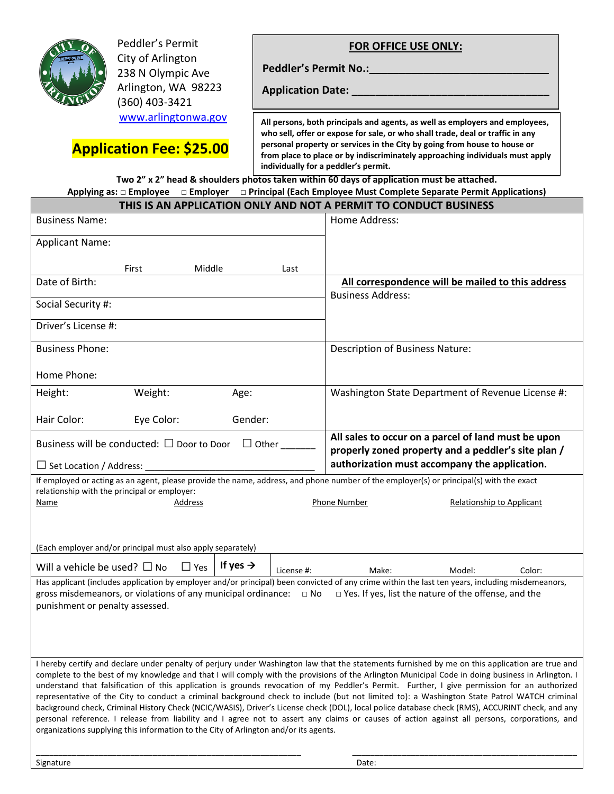

Peddler's Permit City of Arlington 238 N Olympic Ave Arlington, WA 98223 (360) 403-3421 www.arlingtonwa.gov **FOR OFFICE USE ONLY:**

Peddler's Permit No.: **\_\_\_\_\_\_\_** 

**Application Date: \_\_\_\_\_\_\_\_\_\_\_\_\_\_\_\_\_\_\_\_\_\_\_\_\_\_\_\_\_\_\_\_\_**

 **Application Fee: \$25.00**

**All persons, both principals and agents, as well as employers and employees, who sell, offer or expose for sale, or who shall trade, deal or traffic in any personal property or services in the City by going from house to house or from place to place or by indiscriminately approaching individuals must apply individually for a peddler's permit.**

**Two 2" x 2" head & shoulders photos taken within 60 days of application must be attached.**

| Applying as: $\Box$ Employee $\Box$ Employer $\Box$ Principal (Each Employee Must Complete Separate Permit Applications)                                                                                                                                       |                                                                                                      |                                                         |                                                                               |                                                        |        |  |
|----------------------------------------------------------------------------------------------------------------------------------------------------------------------------------------------------------------------------------------------------------------|------------------------------------------------------------------------------------------------------|---------------------------------------------------------|-------------------------------------------------------------------------------|--------------------------------------------------------|--------|--|
| THIS IS AN APPLICATION ONLY AND NOT A PERMIT TO CONDUCT BUSINESS                                                                                                                                                                                               |                                                                                                      |                                                         |                                                                               |                                                        |        |  |
| <b>Business Name:</b>                                                                                                                                                                                                                                          |                                                                                                      |                                                         | Home Address:                                                                 |                                                        |        |  |
| <b>Applicant Name:</b>                                                                                                                                                                                                                                         |                                                                                                      |                                                         |                                                                               |                                                        |        |  |
|                                                                                                                                                                                                                                                                |                                                                                                      |                                                         |                                                                               |                                                        |        |  |
| Middle<br>First                                                                                                                                                                                                                                                |                                                                                                      | Last                                                    |                                                                               |                                                        |        |  |
| Date of Birth:                                                                                                                                                                                                                                                 |                                                                                                      |                                                         | All correspondence will be mailed to this address<br><b>Business Address:</b> |                                                        |        |  |
| Social Security #:                                                                                                                                                                                                                                             |                                                                                                      |                                                         |                                                                               |                                                        |        |  |
| Driver's License #:                                                                                                                                                                                                                                            |                                                                                                      |                                                         |                                                                               |                                                        |        |  |
| <b>Business Phone:</b>                                                                                                                                                                                                                                         |                                                                                                      |                                                         | <b>Description of Business Nature:</b>                                        |                                                        |        |  |
| Home Phone:                                                                                                                                                                                                                                                    |                                                                                                      |                                                         |                                                                               |                                                        |        |  |
| Weight:<br>Height:                                                                                                                                                                                                                                             | Age:                                                                                                 |                                                         |                                                                               | Washington State Department of Revenue License #:      |        |  |
| Hair Color:<br>Eye Color:                                                                                                                                                                                                                                      | Gender:                                                                                              |                                                         |                                                                               |                                                        |        |  |
| Business will be conducted: $\square$ Door to Door<br>$\Box$ Other                                                                                                                                                                                             |                                                                                                      |                                                         | All sales to occur on a parcel of land must be upon                           |                                                        |        |  |
| $\Box$ Set Location / Address:                                                                                                                                                                                                                                 | properly zoned property and a peddler's site plan /<br>authorization must accompany the application. |                                                         |                                                                               |                                                        |        |  |
| If employed or acting as an agent, please provide the name, address, and phone number of the employer(s) or principal(s) with the exact                                                                                                                        |                                                                                                      |                                                         |                                                                               |                                                        |        |  |
| relationship with the principal or employer:<br>Address<br>Name                                                                                                                                                                                                |                                                                                                      | <b>Phone Number</b><br><b>Relationship to Applicant</b> |                                                                               |                                                        |        |  |
|                                                                                                                                                                                                                                                                |                                                                                                      |                                                         |                                                                               |                                                        |        |  |
| (Each employer and/or principal must also apply separately)                                                                                                                                                                                                    |                                                                                                      |                                                         |                                                                               |                                                        |        |  |
| Will a vehicle be used? $\Box$ No<br>$\Box$ Yes                                                                                                                                                                                                                | If yes $\rightarrow$                                                                                 | License #:                                              | Make:                                                                         | Model:                                                 | Color: |  |
| Has applicant (includes application by employer and/or principal) been convicted of any crime within the last ten years, including misdemeanors,<br>gross misdemeanors, or violations of any municipal ordinance: $\Box$ No<br>punishment or penalty assessed. |                                                                                                      |                                                         |                                                                               | □ Yes. If yes, list the nature of the offense, and the |        |  |
|                                                                                                                                                                                                                                                                |                                                                                                      |                                                         |                                                                               |                                                        |        |  |

I hereby certify and declare under penalty of perjury under Washington law that the statements furnished by me on this application are true and complete to the best of my knowledge and that I will comply with the provisions of the Arlington Municipal Code in doing business in Arlington. I understand that falsification of this application is grounds revocation of my Peddler's Permit. Further, I give permission for an authorized representative of the City to conduct a criminal background check to include (but not limited to): a Washington State Patrol WATCH criminal background check, Criminal History Check (NCIC/WASIS), Driver's License check (DOL), local police database check (RMS), ACCURINT check, and any personal reference. I release from liability and I agree not to assert any claims or causes of action against all persons, corporations, and organizations supplying this information to the City of Arlington and/or its agents.

\_\_\_\_\_\_\_\_\_\_\_\_\_\_\_\_\_\_\_\_\_\_\_\_\_\_\_\_\_\_\_\_\_\_\_\_\_\_\_\_\_\_\_\_\_\_\_\_\_\_\_\_\_\_\_\_\_\_\_ \_\_\_\_\_\_\_\_\_\_\_\_\_\_\_\_\_\_\_\_\_\_\_\_\_\_\_\_\_\_\_\_\_\_\_\_\_\_\_\_\_\_\_\_\_\_\_\_\_\_

Signature Date: Date: Date: Date: Date: Date: Date: Date: Date: Date: Date: Date: Date: Date: Date: Date: Date: Date: Date: Date: Date: Date: Date: Date: Date: Date: Date: Date: Date: Date: Date: Date: Date: Date: Date: Da